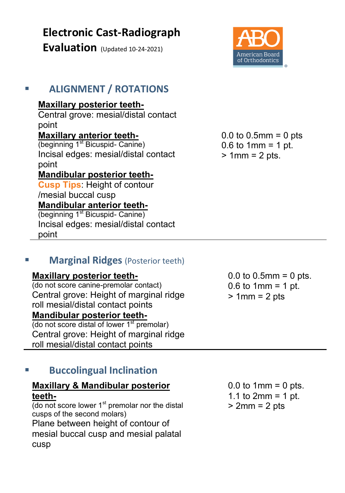# **Electronic Cast-Radiograph**

**Evaluation** (Updated 10-24-2021)



# **ALIGNMENT / ROTATIONS**

### **Maxillary posterior teeth-**

Central grove: mesial/distal contact point

## **Maxillary anterior teeth-**

(beginning 1<sup>st</sup> Bicuspid- Canine) Incisal edges: mesial/distal contact point

## **Mandibular posterior teeth-**

**Cusp Tips**: Height of contour /mesial buccal cusp **Mandibular anterior teeth-** (beginning 1<sup>st</sup> Bicuspid- Canine)

Incisal edges: mesial/distal contact point

## **Marginal Ridges** (Posterior teeth)

#### **Maxillary posterior teeth-**

(do not score canine-premolar contact) Central grove: Height of marginal ridge roll mesial/distal contact points **Mandibular posterior teeth-** (do not score distal of lower 1<sup>st</sup> premolar)

Central grove: Height of marginal ridge roll mesial/distal contact points

# **Buccolingual Inclination**

#### **Maxillary & Mandibular posterior teeth-**

(do not score lower 1<sup>st</sup> premolar nor the distal cusps of the second molars) Plane between height of contour of mesial buccal cusp and mesial palatal cusp

0.0 to 0.5mm = 0 pts 0.6 to 1mm = 1 pt.  $> 1$ mm = 2 pts.

0.0 to  $0.5$ mm =  $0$  pts.  $0.6$  to 1mm = 1 pt. > 1mm = 2 pts

 $0.0$  to 1mm =  $0$  pts. 1.1 to  $2mm = 1$  pt.  $> 2$ mm =  $2$  pts